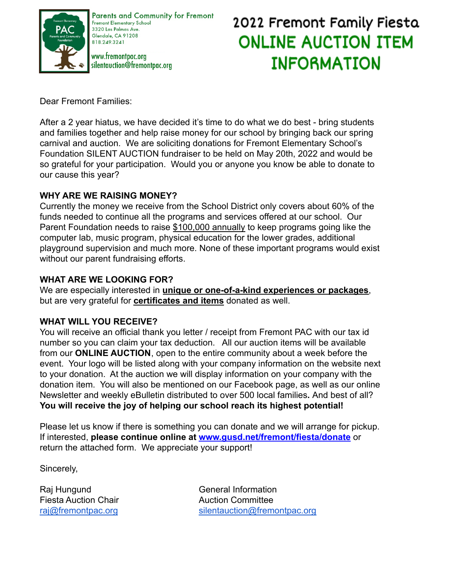

Parents and Community for Fremont Fremont Elementary School 3320 Las Palmas Ave. Glendale, CA 91208 818 249 3241

www.fremontpac.org silentauction@fremontpac.org

# 2022 Fremont Family Fiesta **ONLINE AUCTION ITEM INFORMATION**

Dear Fremont Families:

After a 2 year hiatus, we have decided it's time to do what we do best - bring students and families together and help raise money for our school by bringing back our spring carnival and auction. We are soliciting donations for Fremont Elementary School's Foundation SILENT AUCTION fundraiser to be held on May 20th, 2022 and would be so grateful for your participation. Would you or anyone you know be able to donate to our cause this year?

### **WHY ARE WE RAISING MONEY?**

Currently the money we receive from the School District only covers about 60% of the funds needed to continue all the programs and services offered at our school. Our Parent Foundation needs to raise \$100,000 annually to keep programs going like the computer lab, music program, physical education for the lower grades, additional playground supervision and much more. None of these important programs would exist without our parent fundraising efforts.

#### **WHAT ARE WE LOOKING FOR?**

We are especially interested in **unique or one-of-a-kind experiences or packages**, but are very grateful for **certificates and items** donated as well.

#### **WHAT WILL YOU RECEIVE?**

You will receive an official thank you letter / receipt from Fremont PAC with our tax id number so you can claim your tax deduction. All our auction items will be available from our **ONLINE AUCTION**, open to the entire community about a week before the event. Your logo will be listed along with your company information on the website next to your donation. At the auction we will display information on your company with the donation item. You will also be mentioned on our Facebook page, as well as our online Newsletter and weekly eBulletin distributed to over 500 local families**.** And best of all? **You will receive the joy of helping our school reach its highest potential!**

Please let us know if there is something you can donate and we will arrange for pickup. If interested, **please continue online at [www.gusd.net/fremont/fiesta/donate](http://www.gusd.net/fremont/fiesta/donate)** or return the attached form. We appreciate your support!

Sincerely,

Fiesta Auction Chair **Auction Committee** 

Raj Hungund General Information [raj@fremontpac.org](https://mail.google.com/mail/?view=cm&fs=1&tf=1&to=raj@fremontpac.org) [silentauction@fremontpac.org](https://mail.google.com/mail/?view=cm&fs=1&tf=1&to=silentauction@fremontpac.org)